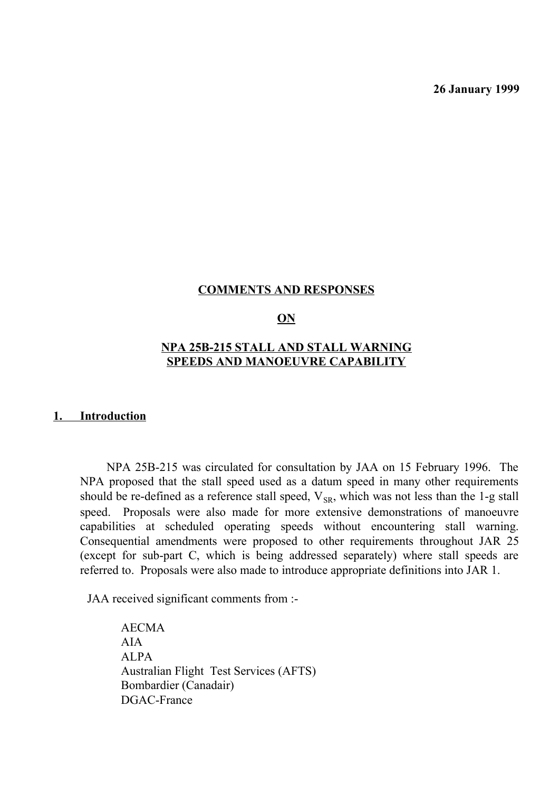**26 January 1999**

# **COMMENTS AND RESPONSES**

# **ON**

# **NPA 25B-215 STALL AND STALL WARNING SPEEDS AND MANOEUVRE CAPABILITY**

#### **1. Introduction**

NPA 25B-215 was circulated for consultation by JAA on 15 February 1996. The NPA proposed that the stall speed used as a datum speed in many other requirements should be re-defined as a reference stall speed,  $V_{SR}$ , which was not less than the 1-g stall speed. Proposals were also made for more extensive demonstrations of manoeuvre capabilities at scheduled operating speeds without encountering stall warning. Consequential amendments were proposed to other requirements throughout JAR 25 (except for sub-part C, which is being addressed separately) where stall speeds are referred to. Proposals were also made to introduce appropriate definitions into JAR 1.

JAA received significant comments from :-

AECMA AIA ALPA Australian Flight Test Services (AFTS) Bombardier (Canadair) DGAC-France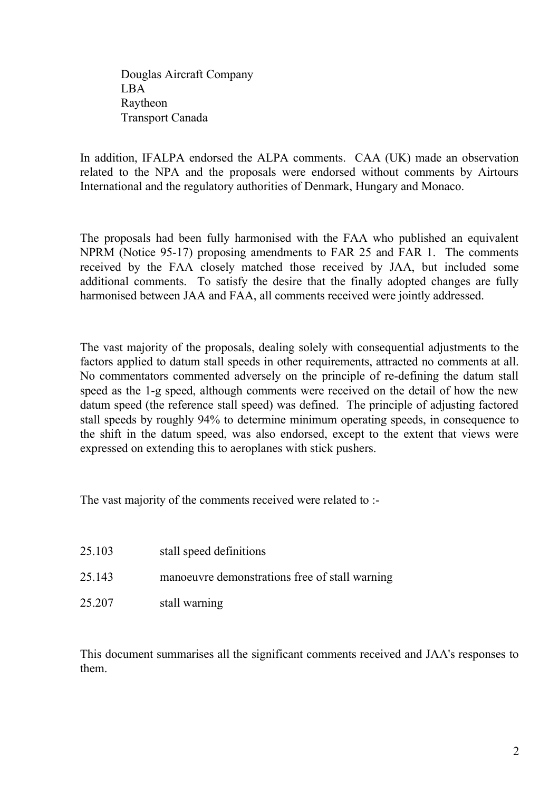Douglas Aircraft Company LBA Raytheon Transport Canada

In addition, IFALPA endorsed the ALPA comments. CAA (UK) made an observation related to the NPA and the proposals were endorsed without comments by Airtours International and the regulatory authorities of Denmark, Hungary and Monaco.

The proposals had been fully harmonised with the FAA who published an equivalent NPRM (Notice 95-17) proposing amendments to FAR 25 and FAR 1. The comments received by the FAA closely matched those received by JAA, but included some additional comments. To satisfy the desire that the finally adopted changes are fully harmonised between JAA and FAA, all comments received were jointly addressed.

The vast majority of the proposals, dealing solely with consequential adjustments to the factors applied to datum stall speeds in other requirements, attracted no comments at all. No commentators commented adversely on the principle of re-defining the datum stall speed as the 1-g speed, although comments were received on the detail of how the new datum speed (the reference stall speed) was defined. The principle of adjusting factored stall speeds by roughly 94% to determine minimum operating speeds, in consequence to the shift in the datum speed, was also endorsed, except to the extent that views were expressed on extending this to aeroplanes with stick pushers.

The vast majority of the comments received were related to :-

| 25.103 | stall speed definitions                        |
|--------|------------------------------------------------|
| 25.143 | manoeuvre demonstrations free of stall warning |
| 25.207 | stall warning                                  |

This document summarises all the significant comments received and JAA's responses to them.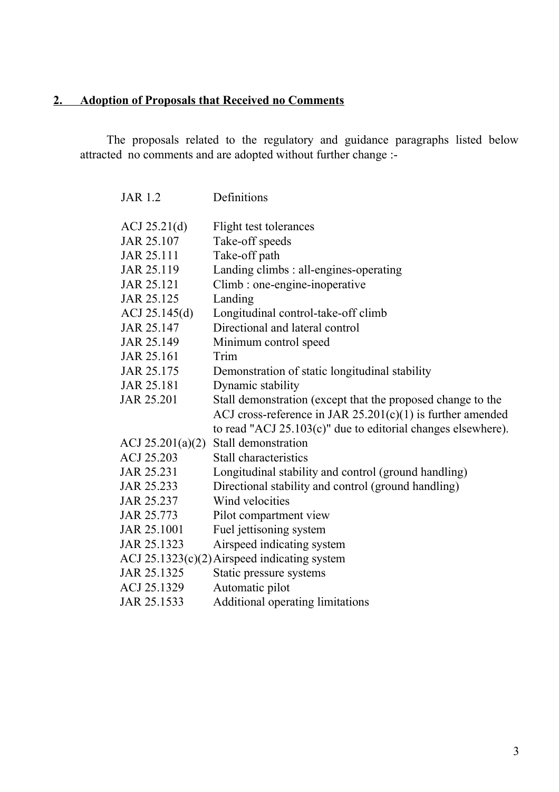# **2. Adoption of Proposals that Received no Comments**

The proposals related to the regulatory and guidance paragraphs listed below attracted no comments and are adopted without further change :-

| <b>JAR 1.2</b>     | Definitions                                                     |
|--------------------|-----------------------------------------------------------------|
| ACJ 25.21(d)       | Flight test tolerances                                          |
| JAR 25.107         | Take-off speeds                                                 |
| JAR 25.111         | Take-off path                                                   |
| JAR 25.119         | Landing climbs : all-engines-operating                          |
| JAR 25.121         | Climb : one-engine-inoperative                                  |
| JAR 25.125         | Landing                                                         |
| ACJ 25.145(d)      | Longitudinal control-take-off climb                             |
| JAR 25.147         | Directional and lateral control                                 |
| JAR 25.149         | Minimum control speed                                           |
| JAR 25.161         | Trim                                                            |
| JAR 25.175         | Demonstration of static longitudinal stability                  |
| JAR 25.181         | Dynamic stability                                               |
| JAR 25.201         | Stall demonstration (except that the proposed change to the     |
|                    | ACJ cross-reference in JAR $25.201(c)(1)$ is further amended    |
|                    | to read "ACJ $25.103(c)$ " due to editorial changes elsewhere). |
| ACJ $25.201(a)(2)$ | Stall demonstration                                             |
| ACJ 25.203         | Stall characteristics                                           |
| JAR 25.231         | Longitudinal stability and control (ground handling)            |
| JAR 25.233         | Directional stability and control (ground handling)             |
| JAR 25.237         | Wind velocities                                                 |
| JAR 25.773         | Pilot compartment view                                          |
| JAR 25.1001        | Fuel jettisoning system                                         |
| JAR 25.1323        | Airspeed indicating system                                      |
|                    | ACJ $25.1323(c)(2)$ Airspeed indicating system                  |
| JAR 25.1325        | Static pressure systems                                         |
| ACJ 25.1329        | Automatic pilot                                                 |
| JAR 25.1533        | Additional operating limitations                                |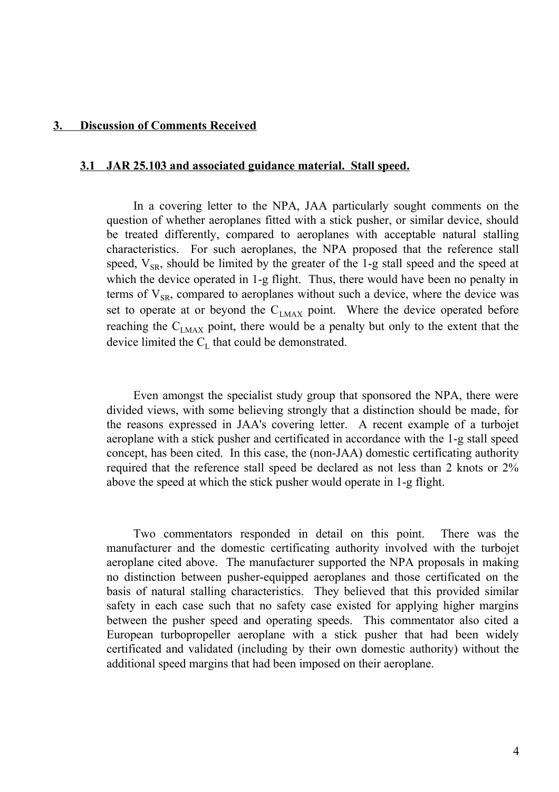#### **3. Discussion of Comments Received**

#### **3.1 JAR 25.103 and associated guidance material. Stall speed.**

In a covering letter to the NPA, JAA particularly sought comments on the question of whether aeroplanes fitted with a stick pusher, or similar device, should be treated differently, compared to aeroplanes with acceptable natural stalling characteristics. For such aeroplanes, the NPA proposed that the reference stall speed,  $V_{SR}$ , should be limited by the greater of the 1-g stall speed and the speed at which the device operated in 1-g flight. Thus, there would have been no penalty in terms of  $V_{SR}$ , compared to aeroplanes without such a device, where the device was set to operate at or beyond the  $C_{LMAX}$  point. Where the device operated before reaching the  $C_{LMAX}$  point, there would be a penalty but only to the extent that the device limited the  $C_{L}$  that could be demonstrated.

Even amongst the specialist study group that sponsored the NPA, there were divided views, with some believing strongly that a distinction should be made, for the reasons expressed in JAA's covering letter. A recent example of a turbojet aeroplane with a stick pusher and certificated in accordance with the 1-g stall speed concept, has been cited. In this case, the (non-JAA) domestic certificating authority required that the reference stall speed be declared as not less than 2 knots or 2% above the speed at which the stick pusher would operate in 1-g flight.

Two commentators responded in detail on this point. There was the manufacturer and the domestic certificating authority involved with the turbojet aeroplane cited above. The manufacturer supported the NPA proposals in making no distinction between pusher-equipped aeroplanes and those certificated on the basis of natural stalling characteristics. They believed that this provided similar safety in each case such that no safety case existed for applying higher margins between the pusher speed and operating speeds. This commentator also cited a European turbopropeller aeroplane with a stick pusher that had been widely certificated and validated (including by their own domestic authority) without the additional speed margins that had been imposed on their aeroplane.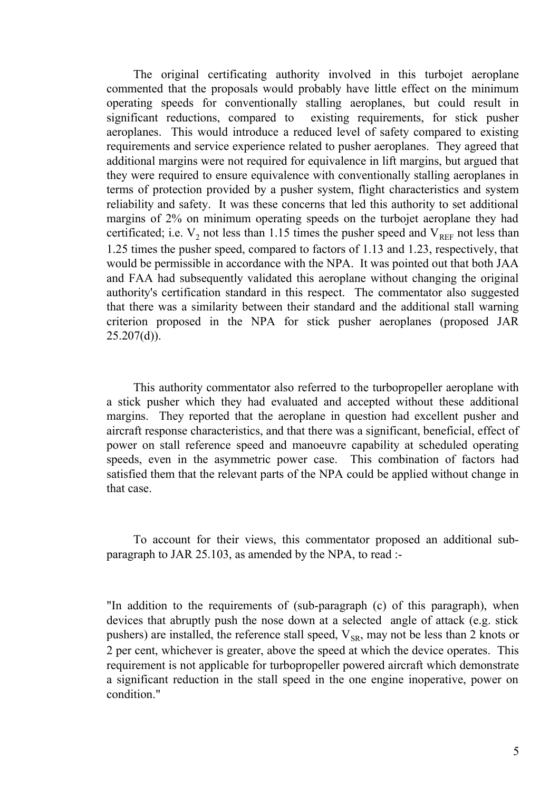The original certificating authority involved in this turbojet aeroplane commented that the proposals would probably have little effect on the minimum operating speeds for conventionally stalling aeroplanes, but could result in significant reductions, compared to existing requirements, for stick pusher aeroplanes. This would introduce a reduced level of safety compared to existing requirements and service experience related to pusher aeroplanes. They agreed that additional margins were not required for equivalence in lift margins, but argued that they were required to ensure equivalence with conventionally stalling aeroplanes in terms of protection provided by a pusher system, flight characteristics and system reliability and safety. It was these concerns that led this authority to set additional margins of 2% on minimum operating speeds on the turbojet aeroplane they had certificated; i.e.  $V_2$  not less than 1.15 times the pusher speed and  $V_{REF}$  not less than 1.25 times the pusher speed, compared to factors of 1.13 and 1.23, respectively, that would be permissible in accordance with the NPA. It was pointed out that both JAA and FAA had subsequently validated this aeroplane without changing the original authority's certification standard in this respect. The commentator also suggested that there was a similarity between their standard and the additional stall warning criterion proposed in the NPA for stick pusher aeroplanes (proposed JAR  $25.207(d)$ ).

This authority commentator also referred to the turbopropeller aeroplane with a stick pusher which they had evaluated and accepted without these additional margins. They reported that the aeroplane in question had excellent pusher and aircraft response characteristics, and that there was a significant, beneficial, effect of power on stall reference speed and manoeuvre capability at scheduled operating speeds, even in the asymmetric power case. This combination of factors had satisfied them that the relevant parts of the NPA could be applied without change in that case.

To account for their views, this commentator proposed an additional subparagraph to JAR 25.103, as amended by the NPA, to read :-

"In addition to the requirements of (sub-paragraph (c) of this paragraph), when devices that abruptly push the nose down at a selected angle of attack (e.g. stick pushers) are installed, the reference stall speed,  $V_{SR}$ , may not be less than 2 knots or 2 per cent, whichever is greater, above the speed at which the device operates. This requirement is not applicable for turbopropeller powered aircraft which demonstrate a significant reduction in the stall speed in the one engine inoperative, power on condition."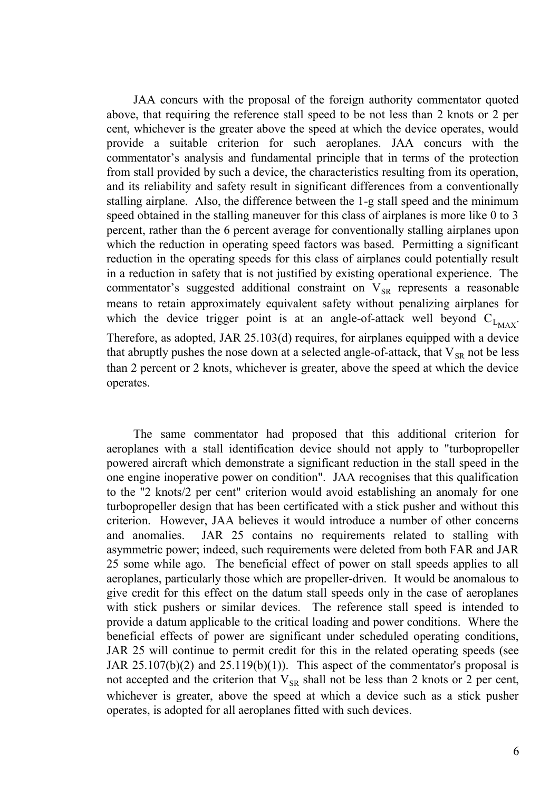JAA concurs with the proposal of the foreign authority commentator quoted above, that requiring the reference stall speed to be not less than 2 knots or 2 per cent, whichever is the greater above the speed at which the device operates, would provide a suitable criterion for such aeroplanes. JAA concurs with the commentator's analysis and fundamental principle that in terms of the protection from stall provided by such a device, the characteristics resulting from its operation, and its reliability and safety result in significant differences from a conventionally stalling airplane. Also, the difference between the 1-g stall speed and the minimum speed obtained in the stalling maneuver for this class of airplanes is more like 0 to 3 percent, rather than the 6 percent average for conventionally stalling airplanes upon which the reduction in operating speed factors was based. Permitting a significant reduction in the operating speeds for this class of airplanes could potentially result in a reduction in safety that is not justified by existing operational experience. The commentator's suggested additional constraint on  $V_{SR}$  represents a reasonable means to retain approximately equivalent safety without penalizing airplanes for which the device trigger point is at an angle-of-attack well beyond  $C_{L_{MAX}}$ . Therefore, as adopted, JAR 25.103(d) requires, for airplanes equipped with a device that abruptly pushes the nose down at a selected angle-of-attack, that  $V_{SR}$  not be less than 2 percent or 2 knots, whichever is greater, above the speed at which the device operates.

The same commentator had proposed that this additional criterion for aeroplanes with a stall identification device should not apply to "turbopropeller powered aircraft which demonstrate a significant reduction in the stall speed in the one engine inoperative power on condition". JAA recognises that this qualification to the "2 knots/2 per cent" criterion would avoid establishing an anomaly for one turbopropeller design that has been certificated with a stick pusher and without this criterion. However, JAA believes it would introduce a number of other concerns and anomalies. JAR 25 contains no requirements related to stalling with asymmetric power; indeed, such requirements were deleted from both FAR and JAR 25 some while ago. The beneficial effect of power on stall speeds applies to all aeroplanes, particularly those which are propeller-driven. It would be anomalous to give credit for this effect on the datum stall speeds only in the case of aeroplanes with stick pushers or similar devices. The reference stall speed is intended to provide a datum applicable to the critical loading and power conditions. Where the beneficial effects of power are significant under scheduled operating conditions, JAR 25 will continue to permit credit for this in the related operating speeds (see JAR 25.107(b)(2) and 25.119(b)(1)). This aspect of the commentator's proposal is not accepted and the criterion that  $V_{SR}$  shall not be less than 2 knots or 2 per cent, whichever is greater, above the speed at which a device such as a stick pusher operates, is adopted for all aeroplanes fitted with such devices.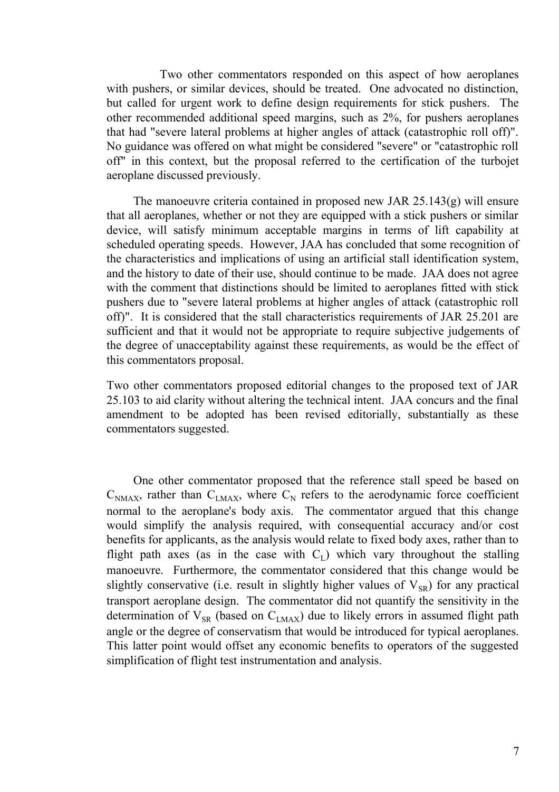Two other commentators responded on this aspect of how aeroplanes with pushers, or similar devices, should be treated. One advocated no distinction, but called for urgent work to define design requirements for stick pushers. The other recommended additional speed margins, such as 2%, for pushers aeroplanes that had "severe lateral problems at higher angles of attack (catastrophic roll off)". No guidance was offered on what might be considered "severe" or "catastrophic roll off" in this context, but the proposal referred to the certification of the turbojet aeroplane discussed previously.

The manoeuvre criteria contained in proposed new JAR 25.143(g) will ensure that all aeroplanes, whether or not they are equipped with a stick pushers or similar device, will satisfy minimum acceptable margins in terms of lift capability at scheduled operating speeds. However, JAA has concluded that some recognition of the characteristics and implications of using an artificial stall identification system, and the history to date of their use, should continue to be made. JAA does not agree with the comment that distinctions should be limited to aeroplanes fitted with stick pushers due to "severe lateral problems at higher angles of attack (catastrophic roll off)". It is considered that the stall characteristics requirements of JAR 25.201 are sufficient and that it would not be appropriate to require subjective judgements of the degree of unacceptability against these requirements, as would be the effect of this commentators proposal.

Two other commentators proposed editorial changes to the proposed text of JAR 25.103 to aid clarity without altering the technical intent. JAA concurs and the final amendment to be adopted has been revised editorially, substantially as these commentators suggested.

One other commentator proposed that the reference stall speed be based on  $C_{NMAX}$ , rather than  $C_{LMAX}$ , where  $C_N$  refers to the aerodynamic force coefficient normal to the aeroplane's body axis. The commentator argued that this change would simplify the analysis required, with consequential accuracy and/or cost benefits for applicants, as the analysis would relate to fixed body axes, rather than to flight path axes (as in the case with  $C_L$ ) which vary throughout the stalling manoeuvre. Furthermore, the commentator considered that this change would be slightly conservative (i.e. result in slightly higher values of  $V_{SR}$ ) for any practical transport aeroplane design. The commentator did not quantify the sensitivity in the determination of  $V_{SR}$  (based on  $C_{LMAX}$ ) due to likely errors in assumed flight path angle or the degree of conservatism that would be introduced for typical aeroplanes. This latter point would offset any economic benefits to operators of the suggested simplification of flight test instrumentation and analysis.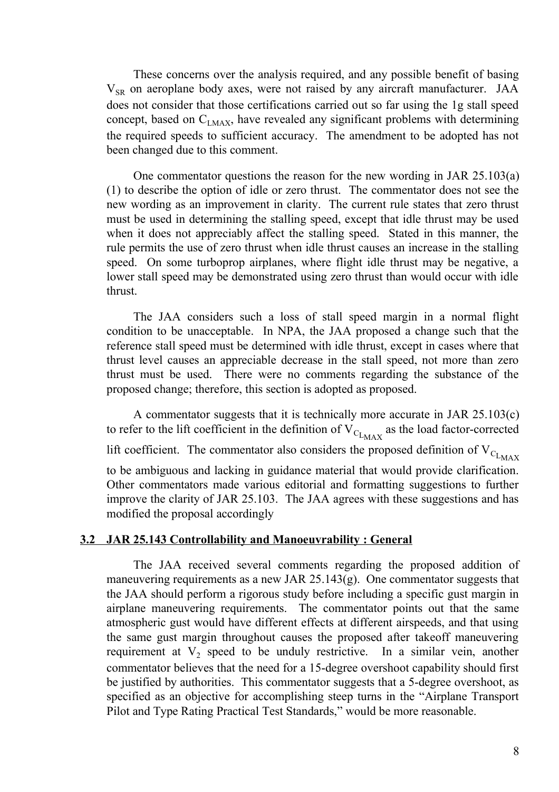These concerns over the analysis required, and any possible benefit of basing  $V_{SR}$  on aeroplane body axes, were not raised by any aircraft manufacturer. JAA does not consider that those certifications carried out so far using the 1g stall speed concept, based on  $C_{LMAX}$ , have revealed any significant problems with determining the required speeds to sufficient accuracy. The amendment to be adopted has not been changed due to this comment.

One commentator questions the reason for the new wording in JAR 25.103(a) (1) to describe the option of idle or zero thrust. The commentator does not see the new wording as an improvement in clarity. The current rule states that zero thrust must be used in determining the stalling speed, except that idle thrust may be used when it does not appreciably affect the stalling speed. Stated in this manner, the rule permits the use of zero thrust when idle thrust causes an increase in the stalling speed. On some turboprop airplanes, where flight idle thrust may be negative, a lower stall speed may be demonstrated using zero thrust than would occur with idle thrust.

The JAA considers such a loss of stall speed margin in a normal flight condition to be unacceptable. In NPA, the JAA proposed a change such that the reference stall speed must be determined with idle thrust, except in cases where that thrust level causes an appreciable decrease in the stall speed, not more than zero thrust must be used. There were no comments regarding the substance of the proposed change; therefore, this section is adopted as proposed.

A commentator suggests that it is technically more accurate in JAR 25.103(c) to refer to the lift coefficient in the definition of  $V_{C_{L_{MAX}}}$  as the load factor-corrected lift coefficient. The commentator also considers the proposed definition of  $V_{C_{L_{MAX}}}$ to be ambiguous and lacking in guidance material that would provide clarification. Other commentators made various editorial and formatting suggestions to further improve the clarity of JAR 25.103. The JAA agrees with these suggestions and has modified the proposal accordingly

#### **3.2 JAR 25.143 Controllability and Manoeuvrability : General**

The JAA received several comments regarding the proposed addition of maneuvering requirements as a new JAR 25.143(g). One commentator suggests that the JAA should perform a rigorous study before including a specific gust margin in airplane maneuvering requirements. The commentator points out that the same atmospheric gust would have different effects at different airspeeds, and that using the same gust margin throughout causes the proposed after takeoff maneuvering requirement at  $V_2$  speed to be unduly restrictive. In a similar vein, another commentator believes that the need for a 15-degree overshoot capability should first be justified by authorities. This commentator suggests that a 5-degree overshoot, as specified as an objective for accomplishing steep turns in the "Airplane Transport Pilot and Type Rating Practical Test Standards," would be more reasonable.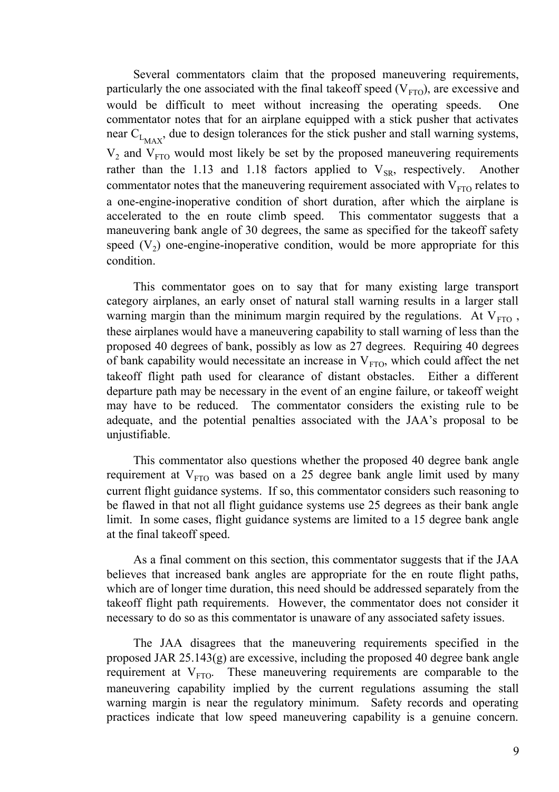Several commentators claim that the proposed maneuvering requirements, particularly the one associated with the final takeoff speed  $(V_{\text{FTO}})$ , are excessive and would be difficult to meet without increasing the operating speeds. One commentator notes that for an airplane equipped with a stick pusher that activates near  $C_{L_{MAX}}$ , due to design tolerances for the stick pusher and stall warning systems,  $V_2$  and  $V_{FTO}$  would most likely be set by the proposed maneuvering requirements rather than the 1.13 and 1.18 factors applied to  $V_{SR}$ , respectively. Another commentator notes that the maneuvering requirement associated with  $V_{FTO}$  relates to a one-engine-inoperative condition of short duration, after which the airplane is accelerated to the en route climb speed. This commentator suggests that a maneuvering bank angle of 30 degrees, the same as specified for the takeoff safety speed  $(V_2)$  one-engine-inoperative condition, would be more appropriate for this condition.

This commentator goes on to say that for many existing large transport category airplanes, an early onset of natural stall warning results in a larger stall warning margin than the minimum margin required by the regulations. At  $V_{FTO}$ , these airplanes would have a maneuvering capability to stall warning of less than the proposed 40 degrees of bank, possibly as low as 27 degrees. Requiring 40 degrees of bank capability would necessitate an increase in  $V_{FTO}$ , which could affect the net takeoff flight path used for clearance of distant obstacles. Either a different departure path may be necessary in the event of an engine failure, or takeoff weight may have to be reduced. The commentator considers the existing rule to be adequate, and the potential penalties associated with the JAA's proposal to be unjustifiable.

This commentator also questions whether the proposed 40 degree bank angle requirement at  $V_{FTO}$  was based on a 25 degree bank angle limit used by many current flight guidance systems. If so, this commentator considers such reasoning to be flawed in that not all flight guidance systems use 25 degrees as their bank angle limit. In some cases, flight guidance systems are limited to a 15 degree bank angle at the final takeoff speed.

As a final comment on this section, this commentator suggests that if the JAA believes that increased bank angles are appropriate for the en route flight paths, which are of longer time duration, this need should be addressed separately from the takeoff flight path requirements. However, the commentator does not consider it necessary to do so as this commentator is unaware of any associated safety issues.

The JAA disagrees that the maneuvering requirements specified in the proposed JAR 25.143(g) are excessive, including the proposed 40 degree bank angle requirement at  $V<sub>FTO</sub>$ . These maneuvering requirements are comparable to the maneuvering capability implied by the current regulations assuming the stall warning margin is near the regulatory minimum. Safety records and operating practices indicate that low speed maneuvering capability is a genuine concern.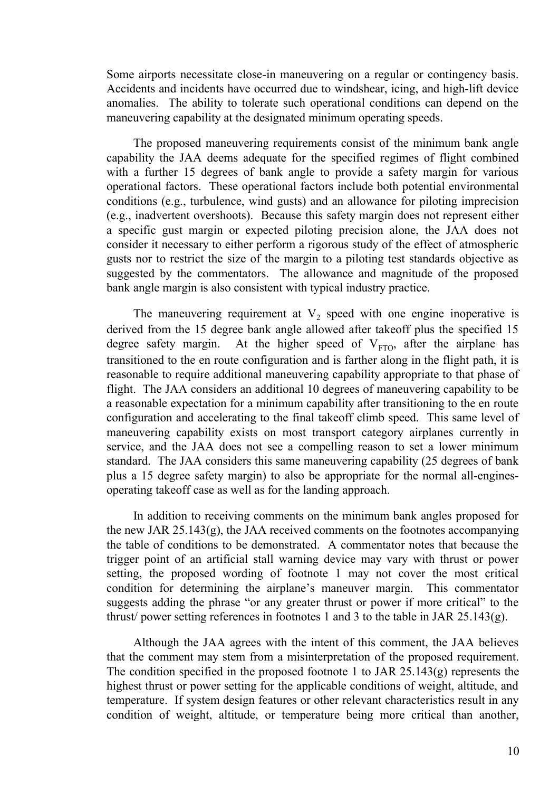Some airports necessitate close-in maneuvering on a regular or contingency basis. Accidents and incidents have occurred due to windshear, icing, and high-lift device anomalies. The ability to tolerate such operational conditions can depend on the maneuvering capability at the designated minimum operating speeds.

The proposed maneuvering requirements consist of the minimum bank angle capability the JAA deems adequate for the specified regimes of flight combined with a further 15 degrees of bank angle to provide a safety margin for various operational factors. These operational factors include both potential environmental conditions (e.g., turbulence, wind gusts) and an allowance for piloting imprecision (e.g., inadvertent overshoots). Because this safety margin does not represent either a specific gust margin or expected piloting precision alone, the JAA does not consider it necessary to either perform a rigorous study of the effect of atmospheric gusts nor to restrict the size of the margin to a piloting test standards objective as suggested by the commentators. The allowance and magnitude of the proposed bank angle margin is also consistent with typical industry practice.

The maneuvering requirement at  $V_2$  speed with one engine inoperative is derived from the 15 degree bank angle allowed after takeoff plus the specified 15 degree safety margin. At the higher speed of  $V_{FTO}$ , after the airplane has transitioned to the en route configuration and is farther along in the flight path, it is reasonable to require additional maneuvering capability appropriate to that phase of flight. The JAA considers an additional 10 degrees of maneuvering capability to be a reasonable expectation for a minimum capability after transitioning to the en route configuration and accelerating to the final takeoff climb speed. This same level of maneuvering capability exists on most transport category airplanes currently in service, and the JAA does not see a compelling reason to set a lower minimum standard. The JAA considers this same maneuvering capability (25 degrees of bank plus a 15 degree safety margin) to also be appropriate for the normal all-enginesoperating takeoff case as well as for the landing approach.

In addition to receiving comments on the minimum bank angles proposed for the new JAR 25.143(g), the JAA received comments on the footnotes accompanying the table of conditions to be demonstrated. A commentator notes that because the trigger point of an artificial stall warning device may vary with thrust or power setting, the proposed wording of footnote 1 may not cover the most critical condition for determining the airplane's maneuver margin. This commentator suggests adding the phrase "or any greater thrust or power if more critical" to the thrust/ power setting references in footnotes 1 and 3 to the table in JAR 25.143(g).

Although the JAA agrees with the intent of this comment, the JAA believes that the comment may stem from a misinterpretation of the proposed requirement. The condition specified in the proposed footnote 1 to JAR 25.143(g) represents the highest thrust or power setting for the applicable conditions of weight, altitude, and temperature. If system design features or other relevant characteristics result in any condition of weight, altitude, or temperature being more critical than another,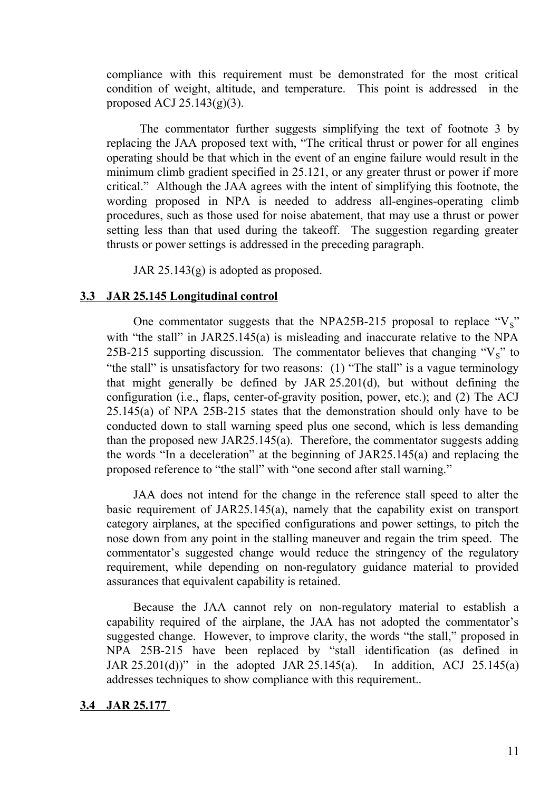compliance with this requirement must be demonstrated for the most critical condition of weight, altitude, and temperature. This point is addressed in the proposed ACJ  $25.143(g)(3)$ .

 The commentator further suggests simplifying the text of footnote 3 by replacing the JAA proposed text with, "The critical thrust or power for all engines operating should be that which in the event of an engine failure would result in the minimum climb gradient specified in 25.121, or any greater thrust or power if more critical." Although the JAA agrees with the intent of simplifying this footnote, the wording proposed in NPA is needed to address all-engines-operating climb procedures, such as those used for noise abatement, that may use a thrust or power setting less than that used during the takeoff. The suggestion regarding greater thrusts or power settings is addressed in the preceding paragraph.

JAR 25.143(g) is adopted as proposed.

# **3.3 JAR 25.145 Longitudinal control**

One commentator suggests that the NPA25B-215 proposal to replace " $V_s$ " with "the stall" in JAR25.145(a) is misleading and inaccurate relative to the NPA 25B-215 supporting discussion. The commentator believes that changing " $V_S$ " to "the stall" is unsatisfactory for two reasons: (1) "The stall" is a vague terminology that might generally be defined by JAR 25.201(d), but without defining the configuration (i.e., flaps, center-of-gravity position, power, etc.); and (2) The ACJ 25.145(a) of NPA 25B-215 states that the demonstration should only have to be conducted down to stall warning speed plus one second, which is less demanding than the proposed new JAR25.145(a). Therefore, the commentator suggests adding the words "In a deceleration" at the beginning of JAR25.145(a) and replacing the proposed reference to "the stall" with "one second after stall warning."

JAA does not intend for the change in the reference stall speed to alter the basic requirement of JAR25.145(a), namely that the capability exist on transport category airplanes, at the specified configurations and power settings, to pitch the nose down from any point in the stalling maneuver and regain the trim speed. The commentator's suggested change would reduce the stringency of the regulatory requirement, while depending on non-regulatory guidance material to provided assurances that equivalent capability is retained.

Because the JAA cannot rely on non-regulatory material to establish a capability required of the airplane, the JAA has not adopted the commentator's suggested change. However, to improve clarity, the words "the stall," proposed in NPA 25B-215 have been replaced by "stall identification (as defined in JAR 25.201(d))" in the adopted JAR 25.145(a). In addition, ACJ 25.145(a) addresses techniques to show compliance with this requirement..

#### **3.4 JAR 25.177**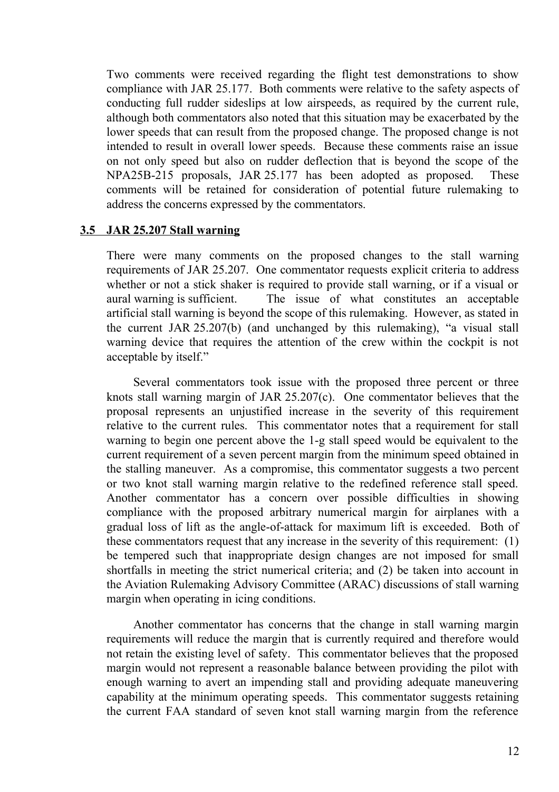Two comments were received regarding the flight test demonstrations to show compliance with JAR 25.177. Both comments were relative to the safety aspects of conducting full rudder sideslips at low airspeeds, as required by the current rule, although both commentators also noted that this situation may be exacerbated by the lower speeds that can result from the proposed change. The proposed change is not intended to result in overall lower speeds. Because these comments raise an issue on not only speed but also on rudder deflection that is beyond the scope of the NPA25B-215 proposals, JAR 25.177 has been adopted as proposed. These comments will be retained for consideration of potential future rulemaking to address the concerns expressed by the commentators.

# **3.5 JAR 25.207 Stall warning**

There were many comments on the proposed changes to the stall warning requirements of JAR 25.207. One commentator requests explicit criteria to address whether or not a stick shaker is required to provide stall warning, or if a visual or aural warning is sufficient. The issue of what constitutes an acceptable artificial stall warning is beyond the scope of this rulemaking. However, as stated in the current JAR 25.207(b) (and unchanged by this rulemaking), "a visual stall warning device that requires the attention of the crew within the cockpit is not acceptable by itself."

Several commentators took issue with the proposed three percent or three knots stall warning margin of JAR 25.207(c). One commentator believes that the proposal represents an unjustified increase in the severity of this requirement relative to the current rules. This commentator notes that a requirement for stall warning to begin one percent above the 1-g stall speed would be equivalent to the current requirement of a seven percent margin from the minimum speed obtained in the stalling maneuver. As a compromise, this commentator suggests a two percent or two knot stall warning margin relative to the redefined reference stall speed. Another commentator has a concern over possible difficulties in showing compliance with the proposed arbitrary numerical margin for airplanes with a gradual loss of lift as the angle-of-attack for maximum lift is exceeded. Both of these commentators request that any increase in the severity of this requirement: (1) be tempered such that inappropriate design changes are not imposed for small shortfalls in meeting the strict numerical criteria; and (2) be taken into account in the Aviation Rulemaking Advisory Committee (ARAC) discussions of stall warning margin when operating in icing conditions.

Another commentator has concerns that the change in stall warning margin requirements will reduce the margin that is currently required and therefore would not retain the existing level of safety. This commentator believes that the proposed margin would not represent a reasonable balance between providing the pilot with enough warning to avert an impending stall and providing adequate maneuvering capability at the minimum operating speeds. This commentator suggests retaining the current FAA standard of seven knot stall warning margin from the reference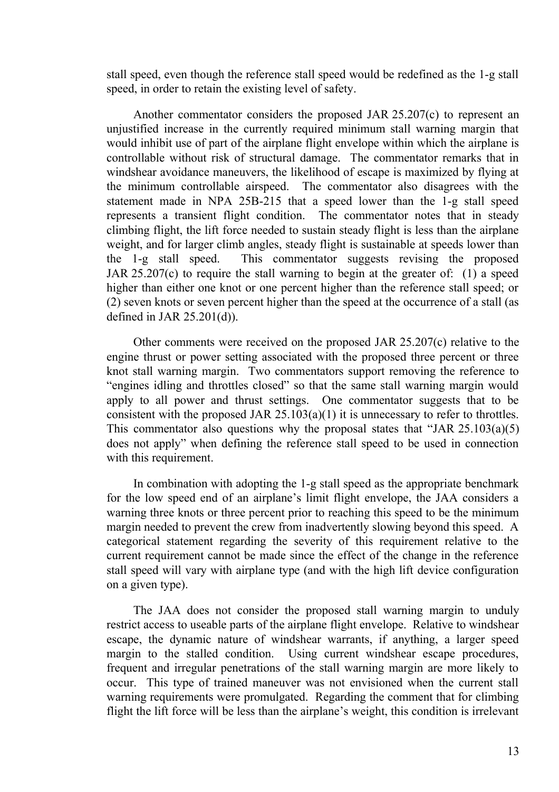stall speed, even though the reference stall speed would be redefined as the 1-g stall speed, in order to retain the existing level of safety.

Another commentator considers the proposed JAR 25.207(c) to represent an unjustified increase in the currently required minimum stall warning margin that would inhibit use of part of the airplane flight envelope within which the airplane is controllable without risk of structural damage. The commentator remarks that in windshear avoidance maneuvers, the likelihood of escape is maximized by flying at the minimum controllable airspeed. The commentator also disagrees with the statement made in NPA 25B-215 that a speed lower than the 1-g stall speed represents a transient flight condition. The commentator notes that in steady climbing flight, the lift force needed to sustain steady flight is less than the airplane weight, and for larger climb angles, steady flight is sustainable at speeds lower than the 1-g stall speed. This commentator suggests revising the proposed JAR 25.207(c) to require the stall warning to begin at the greater of: (1) a speed higher than either one knot or one percent higher than the reference stall speed; or (2) seven knots or seven percent higher than the speed at the occurrence of a stall (as defined in JAR 25.201(d)).

Other comments were received on the proposed JAR 25.207(c) relative to the engine thrust or power setting associated with the proposed three percent or three knot stall warning margin. Two commentators support removing the reference to "engines idling and throttles closed" so that the same stall warning margin would apply to all power and thrust settings. One commentator suggests that to be consistent with the proposed JAR  $25.103(a)(1)$  it is unnecessary to refer to throttles. This commentator also questions why the proposal states that "JAR 25.103(a)(5) does not apply" when defining the reference stall speed to be used in connection with this requirement.

In combination with adopting the 1-g stall speed as the appropriate benchmark for the low speed end of an airplane's limit flight envelope, the JAA considers a warning three knots or three percent prior to reaching this speed to be the minimum margin needed to prevent the crew from inadvertently slowing beyond this speed. A categorical statement regarding the severity of this requirement relative to the current requirement cannot be made since the effect of the change in the reference stall speed will vary with airplane type (and with the high lift device configuration on a given type).

The JAA does not consider the proposed stall warning margin to unduly restrict access to useable parts of the airplane flight envelope. Relative to windshear escape, the dynamic nature of windshear warrants, if anything, a larger speed margin to the stalled condition. Using current windshear escape procedures, frequent and irregular penetrations of the stall warning margin are more likely to occur. This type of trained maneuver was not envisioned when the current stall warning requirements were promulgated. Regarding the comment that for climbing flight the lift force will be less than the airplane's weight, this condition is irrelevant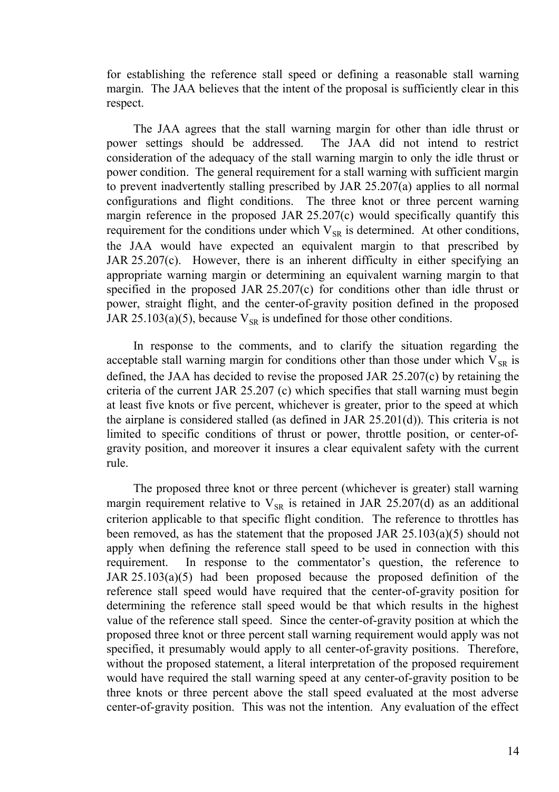for establishing the reference stall speed or defining a reasonable stall warning margin. The JAA believes that the intent of the proposal is sufficiently clear in this respect.

The JAA agrees that the stall warning margin for other than idle thrust or power settings should be addressed. The JAA did not intend to restrict consideration of the adequacy of the stall warning margin to only the idle thrust or power condition. The general requirement for a stall warning with sufficient margin to prevent inadvertently stalling prescribed by JAR 25.207(a) applies to all normal configurations and flight conditions. The three knot or three percent warning margin reference in the proposed JAR 25.207(c) would specifically quantify this requirement for the conditions under which  $V_{SR}$  is determined. At other conditions, the JAA would have expected an equivalent margin to that prescribed by JAR 25.207(c). However, there is an inherent difficulty in either specifying an appropriate warning margin or determining an equivalent warning margin to that specified in the proposed JAR 25.207(c) for conditions other than idle thrust or power, straight flight, and the center-of-gravity position defined in the proposed JAR 25.103(a)(5), because  $V_{SR}$  is undefined for those other conditions.

In response to the comments, and to clarify the situation regarding the acceptable stall warning margin for conditions other than those under which  $V_{SR}$  is defined, the JAA has decided to revise the proposed JAR 25.207(c) by retaining the criteria of the current JAR 25.207 (c) which specifies that stall warning must begin at least five knots or five percent, whichever is greater, prior to the speed at which the airplane is considered stalled (as defined in JAR 25.201(d)). This criteria is not limited to specific conditions of thrust or power, throttle position, or center-ofgravity position, and moreover it insures a clear equivalent safety with the current rule.

The proposed three knot or three percent (whichever is greater) stall warning margin requirement relative to  $V_{SR}$  is retained in JAR 25.207(d) as an additional criterion applicable to that specific flight condition. The reference to throttles has been removed, as has the statement that the proposed JAR 25.103(a)(5) should not apply when defining the reference stall speed to be used in connection with this requirement. In response to the commentator's question, the reference to JAR 25.103(a)(5) had been proposed because the proposed definition of the reference stall speed would have required that the center-of-gravity position for determining the reference stall speed would be that which results in the highest value of the reference stall speed. Since the center-of-gravity position at which the proposed three knot or three percent stall warning requirement would apply was not specified, it presumably would apply to all center-of-gravity positions. Therefore, without the proposed statement, a literal interpretation of the proposed requirement would have required the stall warning speed at any center-of-gravity position to be three knots or three percent above the stall speed evaluated at the most adverse center-of-gravity position. This was not the intention. Any evaluation of the effect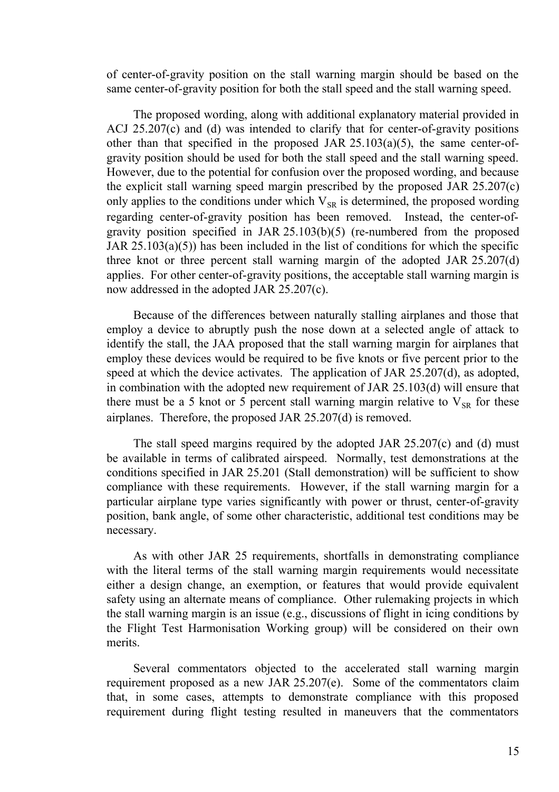of center-of-gravity position on the stall warning margin should be based on the same center-of-gravity position for both the stall speed and the stall warning speed.

The proposed wording, along with additional explanatory material provided in ACJ 25.207(c) and (d) was intended to clarify that for center-of-gravity positions other than that specified in the proposed JAR  $25.103(a)(5)$ , the same center-ofgravity position should be used for both the stall speed and the stall warning speed. However, due to the potential for confusion over the proposed wording, and because the explicit stall warning speed margin prescribed by the proposed JAR 25.207(c) only applies to the conditions under which  $V_{SR}$  is determined, the proposed wording regarding center-of-gravity position has been removed. Instead, the center-ofgravity position specified in JAR 25.103(b)(5) (re-numbered from the proposed JAR  $25.103(a)(5)$ ) has been included in the list of conditions for which the specific three knot or three percent stall warning margin of the adopted JAR 25.207(d) applies. For other center-of-gravity positions, the acceptable stall warning margin is now addressed in the adopted JAR 25.207(c).

Because of the differences between naturally stalling airplanes and those that employ a device to abruptly push the nose down at a selected angle of attack to identify the stall, the JAA proposed that the stall warning margin for airplanes that employ these devices would be required to be five knots or five percent prior to the speed at which the device activates. The application of JAR 25.207(d), as adopted, in combination with the adopted new requirement of JAR 25.103(d) will ensure that there must be a 5 knot or 5 percent stall warning margin relative to  $V_{SR}$  for these airplanes. Therefore, the proposed JAR 25.207(d) is removed.

The stall speed margins required by the adopted JAR 25.207(c) and (d) must be available in terms of calibrated airspeed. Normally, test demonstrations at the conditions specified in JAR 25.201 (Stall demonstration) will be sufficient to show compliance with these requirements. However, if the stall warning margin for a particular airplane type varies significantly with power or thrust, center-of-gravity position, bank angle, of some other characteristic, additional test conditions may be necessary.

As with other JAR 25 requirements, shortfalls in demonstrating compliance with the literal terms of the stall warning margin requirements would necessitate either a design change, an exemption, or features that would provide equivalent safety using an alternate means of compliance. Other rulemaking projects in which the stall warning margin is an issue (e.g., discussions of flight in icing conditions by the Flight Test Harmonisation Working group) will be considered on their own merits.

Several commentators objected to the accelerated stall warning margin requirement proposed as a new JAR 25.207(e). Some of the commentators claim that, in some cases, attempts to demonstrate compliance with this proposed requirement during flight testing resulted in maneuvers that the commentators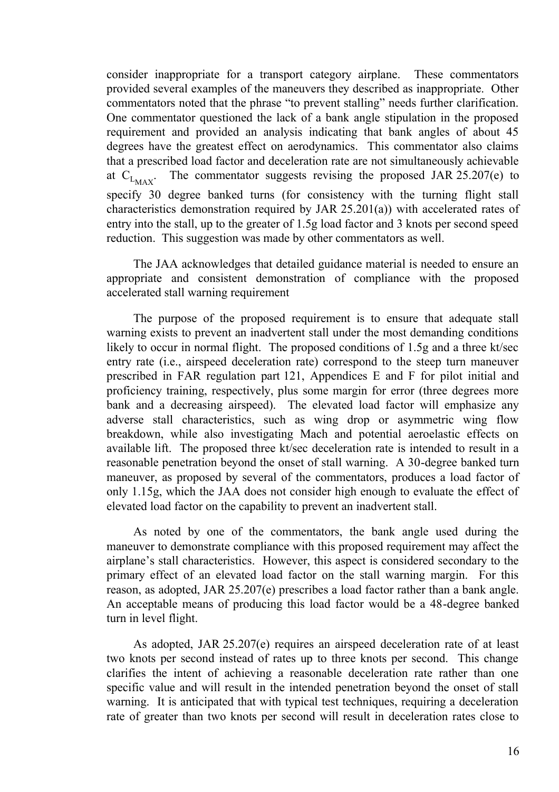consider inappropriate for a transport category airplane. These commentators provided several examples of the maneuvers they described as inappropriate. Other commentators noted that the phrase "to prevent stalling" needs further clarification. One commentator questioned the lack of a bank angle stipulation in the proposed requirement and provided an analysis indicating that bank angles of about 45 degrees have the greatest effect on aerodynamics. This commentator also claims that a prescribed load factor and deceleration rate are not simultaneously achievable at  $C_{L_{MAX}}$ . . The commentator suggests revising the proposed JAR 25.207(e) to specify 30 degree banked turns (for consistency with the turning flight stall characteristics demonstration required by JAR 25.201(a)) with accelerated rates of entry into the stall, up to the greater of 1.5g load factor and 3 knots per second speed reduction. This suggestion was made by other commentators as well.

The JAA acknowledges that detailed guidance material is needed to ensure an appropriate and consistent demonstration of compliance with the proposed accelerated stall warning requirement

The purpose of the proposed requirement is to ensure that adequate stall warning exists to prevent an inadvertent stall under the most demanding conditions likely to occur in normal flight. The proposed conditions of 1.5g and a three kt/sec entry rate (i.e., airspeed deceleration rate) correspond to the steep turn maneuver prescribed in FAR regulation part 121, Appendices E and F for pilot initial and proficiency training, respectively, plus some margin for error (three degrees more bank and a decreasing airspeed). The elevated load factor will emphasize any adverse stall characteristics, such as wing drop or asymmetric wing flow breakdown, while also investigating Mach and potential aeroelastic effects on available lift. The proposed three kt/sec deceleration rate is intended to result in a reasonable penetration beyond the onset of stall warning. A 30-degree banked turn maneuver, as proposed by several of the commentators, produces a load factor of only 1.15g, which the JAA does not consider high enough to evaluate the effect of elevated load factor on the capability to prevent an inadvertent stall.

As noted by one of the commentators, the bank angle used during the maneuver to demonstrate compliance with this proposed requirement may affect the airplane's stall characteristics. However, this aspect is considered secondary to the primary effect of an elevated load factor on the stall warning margin. For this reason, as adopted, JAR 25.207(e) prescribes a load factor rather than a bank angle. An acceptable means of producing this load factor would be a 48-degree banked turn in level flight.

As adopted, JAR 25.207(e) requires an airspeed deceleration rate of at least two knots per second instead of rates up to three knots per second. This change clarifies the intent of achieving a reasonable deceleration rate rather than one specific value and will result in the intended penetration beyond the onset of stall warning. It is anticipated that with typical test techniques, requiring a deceleration rate of greater than two knots per second will result in deceleration rates close to